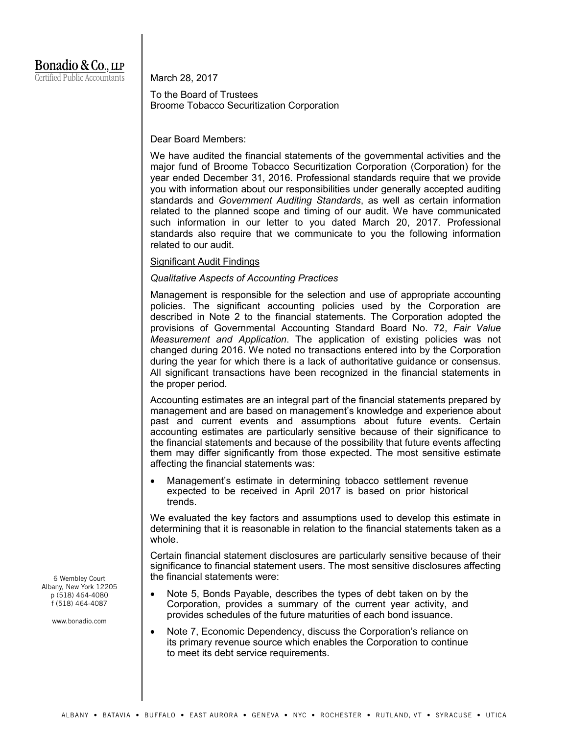# Bonadio & Co., LLP Certified Public Accountants

March 28, 2017

To the Board of Trustees Broome Tobacco Securitization Corporation

Dear Board Members:

We have audited the financial statements of the governmental activities and the major fund of Broome Tobacco Securitization Corporation (Corporation) for the year ended December 31, 2016. Professional standards require that we provide you with information about our responsibilities under generally accepted auditing standards and *Government Auditing Standards*, as well as certain information related to the planned scope and timing of our audit. We have communicated such information in our letter to you dated March 20, 2017. Professional standards also require that we communicate to you the following information related to our audit.

# Significant Audit Findings

# *Qualitative Aspects of Accounting Practices*

Management is responsible for the selection and use of appropriate accounting policies. The significant accounting policies used by the Corporation are described in Note 2 to the financial statements. The Corporation adopted the provisions of Governmental Accounting Standard Board No. 72, *Fair Value Measurement and Application*. The application of existing policies was not changed during 2016. We noted no transactions entered into by the Corporation during the year for which there is a lack of authoritative guidance or consensus. All significant transactions have been recognized in the financial statements in the proper period.

Accounting estimates are an integral part of the financial statements prepared by management and are based on management's knowledge and experience about past and current events and assumptions about future events. Certain accounting estimates are particularly sensitive because of their significance to the financial statements and because of the possibility that future events affecting them may differ significantly from those expected. The most sensitive estimate affecting the financial statements was:

 Management's estimate in determining tobacco settlement revenue expected to be received in April 2017 is based on prior historical trends.

We evaluated the key factors and assumptions used to develop this estimate in determining that it is reasonable in relation to the financial statements taken as a whole.

Certain financial statement disclosures are particularly sensitive because of their significance to financial statement users. The most sensitive disclosures affecting the financial statements were:

- Note 5, Bonds Payable, describes the types of debt taken on by the Corporation, provides a summary of the current year activity, and provides schedules of the future maturities of each bond issuance.
- Note 7, Economic Dependency, discuss the Corporation's reliance on its primary revenue source which enables the Corporation to continue to meet its debt service requirements.

6 Wembley Court Albany, New York 12205 p (518) 464-4080 f (518) 464-4087

www.bonadio.com